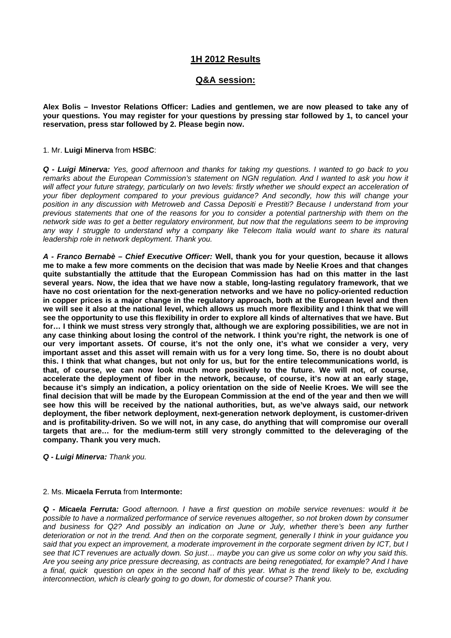# **1H 2012 Results**

# **Q&A session:**

**Alex Bolis – Investor Relations Officer: Ladies and gentlemen, we are now pleased to take any of your questions. You may register for your questions by pressing star followed by 1, to cancel your reservation, press star followed by 2. Please begin now.** 

#### 1. Mr. **Luigi Minerva** from **HSBC**:

*Q - Luigi Minerva: Yes, good afternoon and thanks for taking my questions. I wanted to go back to you remarks about the European Commission's statement on NGN regulation. And I wanted to ask you how it*  will affect your future strategy, particularly on two levels: firstly whether we should expect an acceleration of *your fiber deployment compared to your previous guidance? And secondly, how this will change your position in any discussion with Metroweb and Cassa Depositi e Prestiti? Because I understand from your previous statements that one of the reasons for you to consider a potential partnership with them on the network side was to get a better regulatory environment, but now that the regulations seem to be improving*  any way I struggle to understand why a company like Telecom Italia would want to share its natural *leadership role in network deployment. Thank you.*

*A - Franco Bernabè – Chief Executive Officer:* **Well, thank you for your question, because it allows me to make a few more comments on the decision that was made by Neelie Kroes and that changes quite substantially the attitude that the European Commission has had on this matter in the last several years. Now, the idea that we have now a stable, long-lasting regulatory framework, that we have no cost orientation for the next-generation networks and we have no policy-oriented reduction in copper prices is a major change in the regulatory approach, both at the European level and then we will see it also at the national level, which allows us much more flexibility and I think that we will see the opportunity to use this flexibility in order to explore all kinds of alternatives that we have. But for… I think we must stress very strongly that, although we are exploring possibilities, we are not in any case thinking about losing the control of the network. I think you're right, the network is one of our very important assets. Of course, it's not the only one, it's what we consider a very, very important asset and this asset will remain with us for a very long time. So, there is no doubt about this. I think that what changes, but not only for us, but for the entire telecommunications world, is that, of course, we can now look much more positively to the future. We will not, of course, accelerate the deployment of fiber in the network, because, of course, it's now at an early stage, because it's simply an indication, a policy orientation on the side of Neelie Kroes. We will see the final decision that will be made by the European Commission at the end of the year and then we will see how this will be received by the national authorities, but, as we've always said, our network deployment, the fiber network deployment, next-generation network deployment, is customer-driven and is profitability-driven. So we will not, in any case, do anything that will compromise our overall targets that are… for the medium-term still very strongly committed to the deleveraging of the company. Thank you very much.** 

*Q - Luigi Minerva: Thank you.*

### 2. Ms. **Micaela Ferruta** from **Intermonte:**

*Q - Micaela Ferruta: Good afternoon. I have a first question on mobile service revenues: would it be possible to have a normalized performance of service revenues altogether, so not broken down by consumer and business for Q2? And possibly an indication on June or July, whether there's been any further deterioration or not in the trend. And then on the corporate segment, generally I think in your guidance you said that you expect an improvement, a moderate improvement in the corporate segment driven by ICT, but I see that ICT revenues are actually down. So just… maybe you can give us some color on why you said this. Are you seeing any price pressure decreasing, as contracts are being renegotiated, for example? And I have a final, quick question on opex in the second half of this year. What is the trend likely to be, excluding interconnection, which is clearly going to go down, for domestic of course? Thank you.*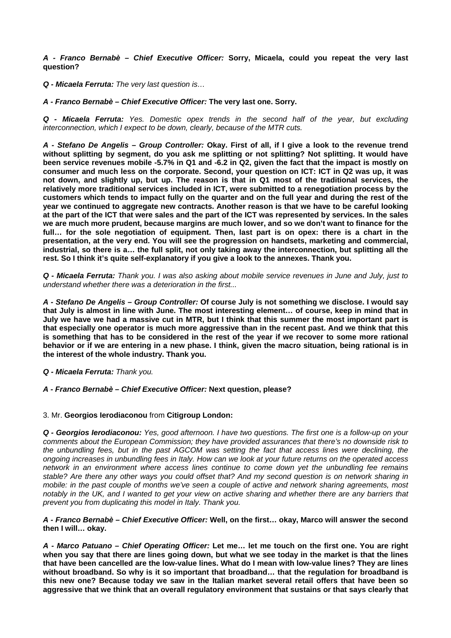*A - Franco Bernabè – Chief Executive Officer:* **Sorry, Micaela, could you repeat the very last question?** 

*Q - Micaela Ferruta: The very last question is…* 

*A - Franco Bernabè – Chief Executive Officer:* **The very last one. Sorry.** 

*Q - Micaela Ferruta: Yes. Domestic opex trends in the second half of the year, but excluding interconnection, which I expect to be down, clearly, because of the MTR cuts.* 

*A - Stefano De Angelis – Group Controller:* **Okay. First of all, if I give a look to the revenue trend without splitting by segment, do you ask me splitting or not splitting? Not splitting. It would have been service revenues mobile -5.7% in Q1 and -6.2 in Q2, given the fact that the impact is mostly on consumer and much less on the corporate. Second, your question on ICT: ICT in Q2 was up, it was not down, and slightly up, but up. The reason is that in Q1 most of the traditional services, the relatively more traditional services included in ICT, were submitted to a renegotiation process by the customers which tends to impact fully on the quarter and on the full year and during the rest of the year we continued to aggregate new contracts. Another reason is that we have to be careful looking at the part of the ICT that were sales and the part of the ICT was represented by services. In the sales we are much more prudent, because margins are much lower, and so we don't want to finance for the full… for the sole negotiation of equipment. Then, last part is on opex: there is a chart in the presentation, at the very end. You will see the progression on handsets, marketing and commercial, industrial, so there is a… the full split, not only taking away the interconnection, but splitting all the rest. So I think it's quite self-explanatory if you give a look to the annexes. Thank you.** 

*Q - Micaela Ferruta: Thank you. I was also asking about mobile service revenues in June and July, just to understand whether there was a deterioration in the first...* 

*A - Stefano De Angelis – Group Controller:* **Of course July is not something we disclose. I would say that July is almost in line with June. The most interesting element… of course, keep in mind that in July we have we had a massive cut in MTR, but I think that this summer the most important part is that especially one operator is much more aggressive than in the recent past. And we think that this is something that has to be considered in the rest of the year if we recover to some more rational behavior or if we are entering in a new phase. I think, given the macro situation, being rational is in the interest of the whole industry. Thank you.** 

*Q - Micaela Ferruta: Thank you.* 

*A - Franco Bernabè – Chief Executive Officer:* **Next question, please?** 

3. Mr. **Georgios Ierodiaconou** from **Citigroup London:** 

*Q - Georgios Ierodiaconou: Yes, good afternoon. I have two questions. The first one is a follow-up on your comments about the European Commission; they have provided assurances that there's no downside risk to the unbundling fees, but in the past AGCOM was setting the fact that access lines were declining, the ongoing increases in unbundling fees in Italy. How can we look at your future returns on the operated access network in an environment where access lines continue to come down yet the unbundling fee remains stable? Are there any other ways you could offset that? And my second question is on network sharing in mobile: in the past couple of months we've seen a couple of active and network sharing agreements, most notably in the UK, and I wanted to get your view on active sharing and whether there are any barriers that prevent you from duplicating this model in Italy. Thank you.* 

*A - Franco Bernabè – Chief Executive Officer:* **Well, on the first… okay, Marco will answer the second then I will… okay.** 

*A - Marco Patuano – Chief Operating Officer:* **Let me… let me touch on the first one. You are right when you say that there are lines going down, but what we see today in the market is that the lines that have been cancelled are the low-value lines. What do I mean with low-value lines? They are lines without broadband. So why is it so important that broadband… that the regulation for broadband is this new one? Because today we saw in the Italian market several retail offers that have been so aggressive that we think that an overall regulatory environment that sustains or that says clearly that**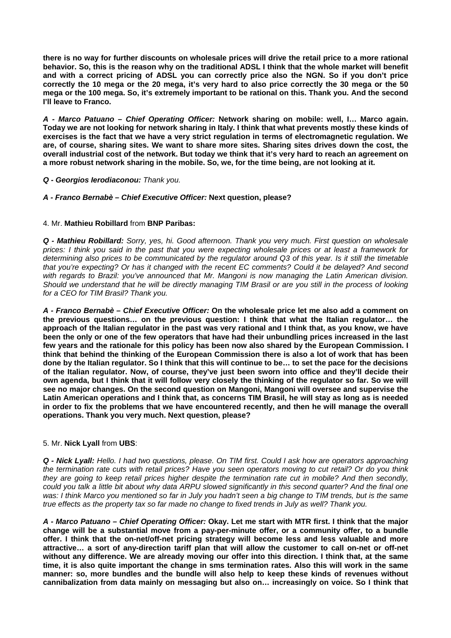**there is no way for further discounts on wholesale prices will drive the retail price to a more rational behavior. So, this is the reason why on the traditional ADSL I think that the whole market will benefit and with a correct pricing of ADSL you can correctly price also the NGN. So if you don't price correctly the 10 mega or the 20 mega, it's very hard to also price correctly the 30 mega or the 50 mega or the 100 mega. So, it's extremely important to be rational on this. Thank you. And the second I'll leave to Franco.** 

*A - Marco Patuano – Chief Operating Officer:* **Network sharing on mobile: well, I… Marco again. Today we are not looking for network sharing in Italy. I think that what prevents mostly these kinds of exercises is the fact that we have a very strict regulation in terms of electromagnetic regulation. We are, of course, sharing sites. We want to share more sites. Sharing sites drives down the cost, the overall industrial cost of the network. But today we think that it's very hard to reach an agreement on a more robust network sharing in the mobile. So, we, for the time being, are not looking at it.** 

# *Q - Georgios Ierodiaconou: Thank you.*

# *A - Franco Bernabè – Chief Executive Officer:* **Next question, please?**

# 4. Mr. **Mathieu Robillard** from **BNP Paribas:**

*Q - Mathieu Robillard: Sorry, yes, hi. Good afternoon. Thank you very much. First question on wholesale prices: I think you said in the past that you were expecting wholesale prices or at least a framework for determining also prices to be communicated by the regulator around Q3 of this year. Is it still the timetable that you're expecting? Or has it changed with the recent EC comments? Could it be delayed? And second with regards to Brazil: you've announced that Mr. Mangoni is now managing the Latin American division. Should we understand that he will be directly managing TIM Brasil or are you still in the process of looking for a CEO for TIM Brasil? Thank you.* 

*A - Franco Bernabè – Chief Executive Officer:* **On the wholesale price let me also add a comment on the previous questions… on the previous question: I think that what the Italian regulator… the approach of the Italian regulator in the past was very rational and I think that, as you know, we have been the only or one of the few operators that have had their unbundling prices increased in the last few years and the rationale for this policy has been now also shared by the European Commission. I think that behind the thinking of the European Commission there is also a lot of work that has been done by the Italian regulator. So I think that this will continue to be… to set the pace for the decisions of the Italian regulator. Now, of course, they've just been sworn into office and they'll decide their own agenda, but I think that it will follow very closely the thinking of the regulator so far. So we will see no major changes. On the second question on Mangoni, Mangoni will oversee and supervise the Latin American operations and I think that, as concerns TIM Brasil, he will stay as long as is needed in order to fix the problems that we have encountered recently, and then he will manage the overall operations. Thank you very much. Next question, please?** 

# 5. Mr. **Nick Lyall** from **UBS**:

*Q - Nick Lyall: Hello. I had two questions, please. On TIM first. Could I ask how are operators approaching the termination rate cuts with retail prices? Have you seen operators moving to cut retail? Or do you think they are going to keep retail prices higher despite the termination rate cut in mobile? And then secondly, could you talk a little bit about why data ARPU slowed significantly in this second quarter? And the final one*  was: I think Marco you mentioned so far in July you hadn't seen a big change to TIM trends, but is the same *true effects as the property tax so far made no change to fixed trends in July as well? Thank you.* 

*A - Marco Patuano – Chief Operating Officer:* **Okay. Let me start with MTR first. I think that the major change will be a substantial move from a pay-per-minute offer, or a community offer, to a bundle offer. I think that the on-net/off-net pricing strategy will become less and less valuable and more attractive… a sort of any-direction tariff plan that will allow the customer to call on-net or off-net without any difference. We are already moving our offer into this direction. I think that, at the same time, it is also quite important the change in sms termination rates. Also this will work in the same manner: so, more bundles and the bundle will also help to keep these kinds of revenues without cannibalization from data mainly on messaging but also on… increasingly on voice. So I think that**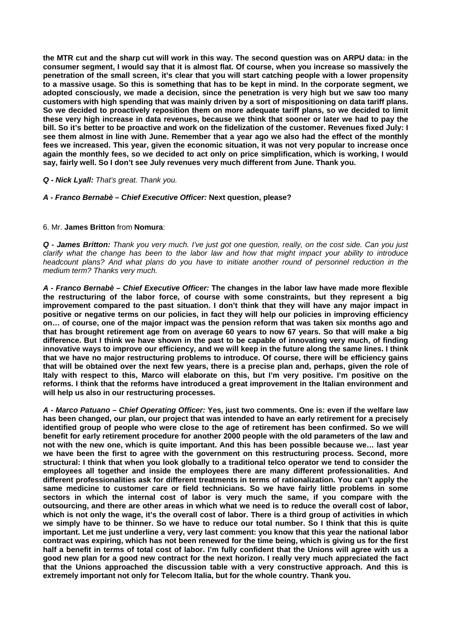**the MTR cut and the sharp cut will work in this way. The second question was on ARPU data: in the consumer segment, I would say that it is almost flat. Of course, when you increase so massively the penetration of the small screen, it's clear that you will start catching people with a lower propensity to a massive usage. So this is something that has to be kept in mind. In the corporate segment, we adopted consciously, we made a decision, since the penetration is very high but we saw too many customers with high spending that was mainly driven by a sort of mispositioning on data tariff plans. So we decided to proactively reposition them on more adequate tariff plans, so we decided to limit these very high increase in data revenues, because we think that sooner or later we had to pay the bill. So it's better to be proactive and work on the fidelization of the customer. Revenues fixed July: I see them almost in line with June. Remember that a year ago we also had the effect of the monthly fees we increased. This year, given the economic situation, it was not very popular to increase once again the monthly fees, so we decided to act only on price simplification, which is working, I would say, fairly well. So I don't see July revenues very much different from June. Thank you.** 

#### *Q - Nick Lyall: That's great. Thank you.*

### *A - Franco Bernabè – Chief Executive Officer:* **Next question, please?**

#### 6. Mr. **James Britton** from **Nomura**:

*Q - James Britton: Thank you very much. I've just got one question, really, on the cost side. Can you just clarify what the change has been to the labor law and how that might impact your ability to introduce headcount plans? And what plans do you have to initiate another round of personnel reduction in the medium term? Thanks very much.* 

*A - Franco Bernabè – Chief Executive Officer:* **The changes in the labor law have made more flexible the restructuring of the labor force, of course with some constraints, but they represent a big improvement compared to the past situation. I don't think that they will have any major impact in positive or negative terms on our policies, in fact they will help our policies in improving efficiency on… of course, one of the major impact was the pension reform that was taken six months ago and that has brought retirement age from on average 60 years to now 67 years. So that will make a big difference. But I think we have shown in the past to be capable of innovating very much, of finding innovative ways to improve our efficiency, and we will keep in the future along the same lines. I think that we have no major restructuring problems to introduce. Of course, there will be efficiency gains that will be obtained over the next few years, there is a precise plan and, perhaps, given the role of Italy with respect to this, Marco will elaborate on this, but I'm very positive. I'm positive on the reforms. I think that the reforms have introduced a great improvement in the Italian environment and will help us also in our restructuring processes.** 

*A - Marco Patuano – Chief Operating Officer:* **Yes, just two comments. One is: even if the welfare law has been changed, our plan, our project that was intended to have an early retirement for a precisely identified group of people who were close to the age of retirement has been confirmed. So we will benefit for early retirement procedure for another 2000 people with the old parameters of the law and not with the new one, which is quite important. And this has been possible because we… last year we have been the first to agree with the government on this restructuring process. Second, more structural: I think that when you look globally to a traditional telco operator we tend to consider the employees all together and inside the employees there are many different professionalities. And different professionalities ask for different treatments in terms of rationalization. You can't apply the same medicine to customer care or field technicians. So we have fairly little problems in some sectors in which the internal cost of labor is very much the same, if you compare with the outsourcing, and there are other areas in which what we need is to reduce the overall cost of labor, which is not only the wage, it's the overall cost of labor. There is a third group of activities in which we simply have to be thinner. So we have to reduce our total number. So I think that this is quite important. Let me just underline a very, very last comment: you know that this year the national labor contract was expiring, which has not been renewed for the time being, which is giving us for the first half a benefit in terms of total cost of labor. I'm fully confident that the Unions will agree with us a good new plan for a good new contract for the next horizon. I really very much appreciated the fact that the Unions approached the discussion table with a very constructive approach. And this is extremely important not only for Telecom Italia, but for the whole country. Thank you.**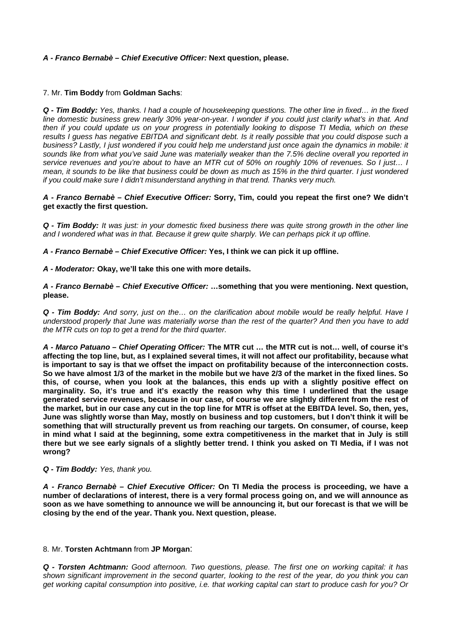# *A - Franco Bernabè – Chief Executive Officer:* **Next question, please.**

# 7. Mr. **Tim Boddy** from **Goldman Sachs**:

*Q - Tim Boddy: Yes, thanks. I had a couple of housekeeping questions. The other line in fixed… in the fixed line domestic business grew nearly 30% year-on-year. I wonder if you could just clarify what's in that. And then if you could update us on your progress in potentially looking to dispose TI Media, which on these results I guess has negative EBITDA and significant debt. Is it really possible that you could dispose such a business? Lastly, I just wondered if you could help me understand just once again the dynamics in mobile: it sounds like from what you've said June was materially weaker than the 7.5% decline overall you reported in service revenues and you're about to have an MTR cut of 50% on roughly 10% of revenues. So I just… I mean, it sounds to be like that business could be down as much as 15% in the third quarter. I just wondered if you could make sure I didn't misunderstand anything in that trend. Thanks very much.* 

*A - Franco Bernabè – Chief Executive Officer:* **Sorry, Tim, could you repeat the first one? We didn't get exactly the first question.** 

*Q - Tim Boddy: It was just: in your domestic fixed business there was quite strong growth in the other line and I wondered what was in that. Because it grew quite sharply. We can perhaps pick it up offline.* 

*A - Franco Bernabè – Chief Executive Officer:* **Yes, I think we can pick it up offline.** 

# *A - Moderator:* **Okay, we'll take this one with more details.**

*A - Franco Bernabè – Chief Executive Officer:* **…something that you were mentioning. Next question, please.** 

*Q - Tim Boddy: And sorry, just on the… on the clarification about mobile would be really helpful. Have I understood properly that June was materially worse than the rest of the quarter? And then you have to add the MTR cuts on top to get a trend for the third quarter.* 

*A - Marco Patuano – Chief Operating Officer:* **The MTR cut … the MTR cut is not… well, of course it's affecting the top line, but, as I explained several times, it will not affect our profitability, because what is important to say is that we offset the impact on profitability because of the interconnection costs. So we have almost 1/3 of the market in the mobile but we have 2/3 of the market in the fixed lines. So this, of course, when you look at the balances, this ends up with a slightly positive effect on marginality. So, it's true and it's exactly the reason why this time I underlined that the usage generated service revenues, because in our case, of course we are slightly different from the rest of the market, but in our case any cut in the top line for MTR is offset at the EBITDA level. So, then, yes, June was slightly worse than May, mostly on business and top customers, but I don't think it will be something that will structurally prevent us from reaching our targets. On consumer, of course, keep in mind what I said at the beginning, some extra competitiveness in the market that in July is still there but we see early signals of a slightly better trend. I think you asked on TI Media, if I was not wrong?** 

### *Q - Tim Boddy: Yes, thank you.*

*A - Franco Bernabè – Chief Executive Officer:* **On TI Media the process is proceeding, we have a number of declarations of interest, there is a very formal process going on, and we will announce as soon as we have something to announce we will be announcing it, but our forecast is that we will be closing by the end of the year. Thank you. Next question, please.** 

### 8. Mr. **Torsten Achtmann** from **JP Morgan**:

*Q - Torsten Achtmann: Good afternoon. Two questions, please. The first one on working capital: it has shown significant improvement in the second quarter, looking to the rest of the year, do you think you can get working capital consumption into positive, i.e. that working capital can start to produce cash for you? Or*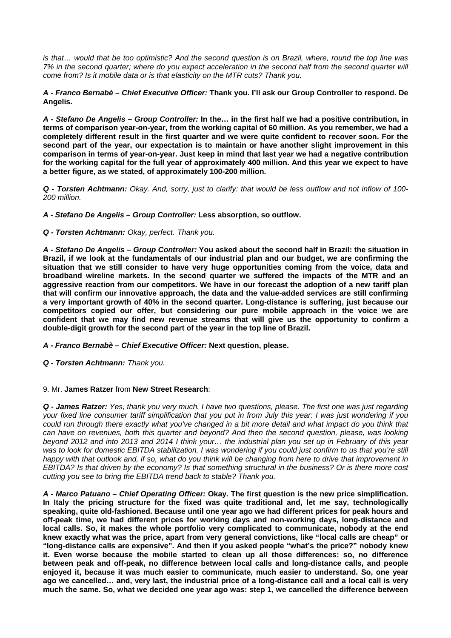*is that… would that be too optimistic? And the second question is on Brazil, where, round the top line was 7% in the second quarter; where do you expect acceleration in the second half from the second quarter will come from? Is it mobile data or is that elasticity on the MTR cuts? Thank you.* 

*A - Franco Bernabè – Chief Executive Officer:* **Thank you. I'll ask our Group Controller to respond. De Angelis.** 

*A - Stefano De Angelis – Group Controller:* **In the… in the first half we had a positive contribution, in terms of comparison year-on-year, from the working capital of 60 million. As you remember, we had a completely different result in the first quarter and we were quite confident to recover soon. For the second part of the year, our expectation is to maintain or have another slight improvement in this comparison in terms of year-on-year. Just keep in mind that last year we had a negative contribution for the working capital for the full year of approximately 400 million. And this year we expect to have a better figure, as we stated, of approximately 100-200 million.** 

*Q - Torsten Achtmann: Okay. And, sorry, just to clarify: that would be less outflow and not inflow of 100- 200 million.* 

*A - Stefano De Angelis – Group Controller:* **Less absorption, so outflow.** 

*Q - Torsten Achtmann: Okay, perfect. Thank you.*

*A - Stefano De Angelis – Group Controller:* **You asked about the second half in Brazil: the situation in Brazil, if we look at the fundamentals of our industrial plan and our budget, we are confirming the situation that we still consider to have very huge opportunities coming from the voice, data and broadband wireline markets. In the second quarter we suffered the impacts of the MTR and an aggressive reaction from our competitors. We have in our forecast the adoption of a new tariff plan that will confirm our innovative approach, the data and the value-added services are still confirming a very important growth of 40% in the second quarter. Long-distance is suffering, just because our competitors copied our offer, but considering our pure mobile approach in the voice we are confident that we may find new revenue streams that will give us the opportunity to confirm a double-digit growth for the second part of the year in the top line of Brazil.** 

*A - Franco Bernabè – Chief Executive Officer:* **Next question, please.** 

*Q - Torsten Achtmann: Thank you.*

### 9. Mr. **James Ratzer** from **New Street Research**:

*Q - James Ratzer: Yes, thank you very much. I have two questions, please. The first one was just regarding your fixed line consumer tariff simplification that you put in from July this year: I was just wondering if you could run through there exactly what you've changed in a bit more detail and what impact do you think that can have on revenues, both this quarter and beyond? And then the second question, please, was looking beyond 2012 and into 2013 and 2014 I think your… the industrial plan you set up in February of this year*  was to look for domestic EBITDA stabilization. I was wondering if you could just confirm to us that you're still *happy with that outlook and, if so, what do you think will be changing from here to drive that improvement in EBITDA? Is that driven by the economy? Is that something structural in the business? Or is there more cost cutting you see to bring the EBITDA trend back to stable? Thank you.* 

*A - Marco Patuano – Chief Operating Officer:* **Okay. The first question is the new price simplification. In Italy the pricing structure for the fixed was quite traditional and, let me say, technologically speaking, quite old-fashioned. Because until one year ago we had different prices for peak hours and off-peak time, we had different prices for working days and non-working days, long-distance and local calls. So, it makes the whole portfolio very complicated to communicate, nobody at the end knew exactly what was the price, apart from very general convictions, like "local calls are cheap" or "long-distance calls are expensive". And then if you asked people "what's the price?" nobody knew it. Even worse because the mobile started to clean up all those differences: so, no difference between peak and off-peak, no difference between local calls and long-distance calls, and people enjoyed it, because it was much easier to communicate, much easier to understand. So, one year ago we cancelled… and, very last, the industrial price of a long-distance call and a local call is very much the same. So, what we decided one year ago was: step 1, we cancelled the difference between**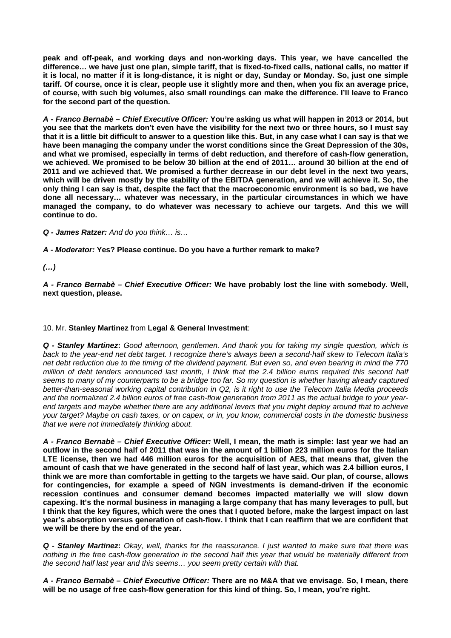**peak and off-peak, and working days and non-working days. This year, we have cancelled the difference… we have just one plan, simple tariff, that is fixed-to-fixed calls, national calls, no matter if it is local, no matter if it is long-distance, it is night or day, Sunday or Monday. So, just one simple tariff. Of course, once it is clear, people use it slightly more and then, when you fix an average price, of course, with such big volumes, also small roundings can make the difference. I'll leave to Franco for the second part of the question.** 

*A - Franco Bernabè – Chief Executive Officer:* **You're asking us what will happen in 2013 or 2014, but you see that the markets don't even have the visibility for the next two or three hours, so I must say that it is a little bit difficult to answer to a question like this. But, in any case what I can say is that we have been managing the company under the worst conditions since the Great Depression of the 30s, and what we promised, especially in terms of debt reduction, and therefore of cash-flow generation, we achieved. We promised to be below 30 billion at the end of 2011… around 30 billion at the end of 2011 and we achieved that. We promised a further decrease in our debt level in the next two years, which will be driven mostly by the stability of the EBITDA generation, and we will achieve it. So, the only thing I can say is that, despite the fact that the macroeconomic environment is so bad, we have done all necessary… whatever was necessary, in the particular circumstances in which we have managed the company, to do whatever was necessary to achieve our targets. And this we will continue to do.** 

*Q - James Ratzer: And do you think… is…*

*A - Moderator:* **Yes? Please continue. Do you have a further remark to make?** 

*(…)* 

*A - Franco Bernabè – Chief Executive Officer:* **We have probably lost the line with somebody. Well, next question, please.** 

# 10. Mr. **Stanley Martinez** from **Legal & General Investment**:

*Q - Stanley Martinez***:** *Good afternoon, gentlemen. And thank you for taking my single question, which is back to the year-end net debt target. I recognize there's always been a second-half skew to Telecom Italia's net debt reduction due to the timing of the dividend payment. But even so, and even bearing in mind the 770 million of debt tenders announced last month, I think that the 2.4 billion euros required this second half seems to many of my counterparts to be a bridge too far. So my question is whether having already captured better-than-seasonal working capital contribution in Q2, is it right to use the Telecom Italia Media proceeds and the normalized 2.4 billion euros of free cash-flow generation from 2011 as the actual bridge to your yearend targets and maybe whether there are any additional levers that you might deploy around that to achieve your target? Maybe on cash taxes, or on capex, or in, you know, commercial costs in the domestic business that we were not immediately thinking about.* 

*A - Franco Bernabè – Chief Executive Officer:* **Well, I mean, the math is simple: last year we had an outflow in the second half of 2011 that was in the amount of 1 billion 223 million euros for the Italian LTE license, then we had 446 million euros for the acquisition of AES, that means that, given the amount of cash that we have generated in the second half of last year, which was 2.4 billion euros, I think we are more than comfortable in getting to the targets we have said. Our plan, of course, allows for contingencies, for example a speed of NGN investments is demand-driven if the economic recession continues and consumer demand becomes impacted materially we will slow down capexing. It's the normal business in managing a large company that has many leverages to pull, but I think that the key figures, which were the ones that I quoted before, make the largest impact on last year's absorption versus generation of cash-flow. I think that I can reaffirm that we are confident that we will be there by the end of the year.** 

*Q - Stanley Martinez***:** *Okay, well, thanks for the reassurance. I just wanted to make sure that there was nothing in the free cash-flow generation in the second half this year that would be materially different from the second half last year and this seems… you seem pretty certain with that.*

*A - Franco Bernabè – Chief Executive Officer:* **There are no M&A that we envisage. So, I mean, there will be no usage of free cash-flow generation for this kind of thing. So, I mean, you're right.**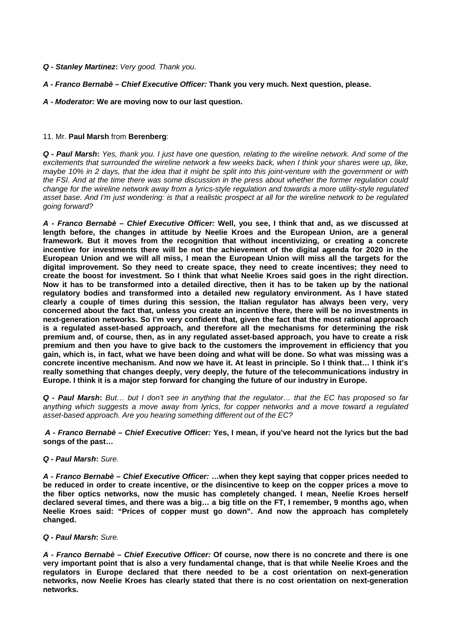- *Q Stanley Martinez***:** *Very good. Thank you.*
- *A Franco Bernabè Chief Executive Officer:* **Thank you very much. Next question, please.**
- *A Moderator:* **We are moving now to our last question.**

### 11. Mr. **Paul Marsh** from **Berenberg**:

*Q - Paul Marsh***:** *Yes, thank you. I just have one question, relating to the wireline network. And some of the excitements that surrounded the wireline network a few weeks back, when I think your shares were up, like, maybe 10% in 2 days, that the idea that it might be split into this joint-venture with the government or with the FSI. And at the time there was some discussion in the press about whether the former regulation could change for the wireline network away from a lyrics-style regulation and towards a more utility-style regulated asset base. And I'm just wondering: is that a realistic prospect at all for the wireline network to be regulated going forward?* 

*A - Franco Bernabè – Chief Executive Officer:* **Well, you see, I think that and, as we discussed at length before, the changes in attitude by Neelie Kroes and the European Union, are a general framework. But it moves from the recognition that without incentivizing, or creating a concrete incentive for investments there will be not the achievement of the digital agenda for 2020 in the European Union and we will all miss, I mean the European Union will miss all the targets for the digital improvement. So they need to create space, they need to create incentives; they need to create the boost for investment. So I think that what Neelie Kroes said goes in the right direction. Now it has to be transformed into a detailed directive, then it has to be taken up by the national regulatory bodies and transformed into a detailed new regulatory environment. As I have stated clearly a couple of times during this session, the Italian regulator has always been very, very concerned about the fact that, unless you create an incentive there, there will be no investments in next-generation networks. So I'm very confident that, given the fact that the most rational approach is a regulated asset-based approach, and therefore all the mechanisms for determining the risk premium and, of course, then, as in any regulated asset-based approach, you have to create a risk premium and then you have to give back to the customers the improvement in efficiency that you gain, which is, in fact, what we have been doing and what will be done. So what was missing was a concrete incentive mechanism. And now we have it. At least in principle. So I think that… I think it's really something that changes deeply, very deeply, the future of the telecommunications industry in Europe. I think it is a major step forward for changing the future of our industry in Europe.** 

*Q - Paul Marsh***:** *But… but I don't see in anything that the regulator… that the EC has proposed so far anything which suggests a move away from lyrics, for copper networks and a move toward a regulated asset-based approach. Are you hearing something different out of the EC?* 

 *A - Franco Bernabè – Chief Executive Officer:* **Yes, I mean, if you've heard not the lyrics but the bad songs of the past…** 

### *Q - Paul Marsh***:** *Sure.*

*A - Franco Bernabè – Chief Executive Officer:* **…when they kept saying that copper prices needed to be reduced in order to create incentive, or the disincentive to keep on the copper prices a move to the fiber optics networks, now the music has completely changed. I mean, Neelie Kroes herself declared several times, and there was a big… a big title on the FT, I remember, 9 months ago, when Neelie Kroes said: "Prices of copper must go down". And now the approach has completely changed.** 

# *Q - Paul Marsh***:** *Sure.*

*A - Franco Bernabè – Chief Executive Officer:* **Of course, now there is no concrete and there is one very important point that is also a very fundamental change, that is that while Neelie Kroes and the regulators in Europe declared that there needed to be a cost orientation on next-generation networks, now Neelie Kroes has clearly stated that there is no cost orientation on next-generation networks.**